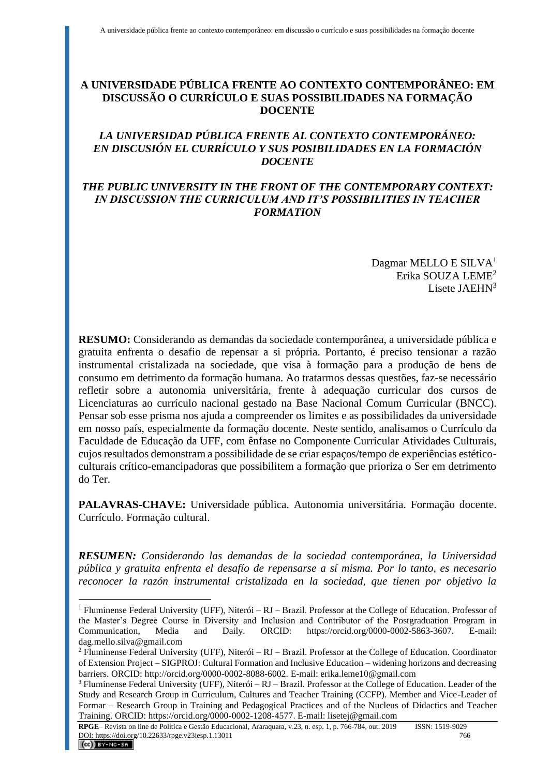# **A UNIVERSIDADE PÚBLICA FRENTE AO CONTEXTO CONTEMPORÂNEO: EM DISCUSSÃO O CURRÍCULO E SUAS POSSIBILIDADES NA FORMAÇÃO DOCENTE**

# *LA UNIVERSIDAD PÚBLICA FRENTE AL CONTEXTO CONTEMPORÁNEO: EN DISCUSIÓN EL CURRÍCULO Y SUS POSIBILIDADES EN LA FORMACIÓN DOCENTE*

### *THE PUBLIC UNIVERSITY IN THE FRONT OF THE CONTEMPORARY CONTEXT: IN DISCUSSION THE CURRICULUM AND IT'S POSSIBILITIES IN TEACHER FORMATION*

Dagmar MELLO E SILVA<sup>1</sup> Erika SOUZA LEME<sup>2</sup> Lisete JAEHN<sup>3</sup>

**RESUMO:** Considerando as demandas da sociedade contemporânea, a universidade pública e gratuita enfrenta o desafio de repensar a si própria. Portanto, é preciso tensionar a razão instrumental cristalizada na sociedade, que visa à formação para a produção de bens de consumo em detrimento da formação humana. Ao tratarmos dessas questões, faz-se necessário refletir sobre a autonomia universitária, frente à adequação curricular dos cursos de Licenciaturas ao currículo nacional gestado na Base Nacional Comum Curricular (BNCC). Pensar sob esse prisma nos ajuda a compreender os limites e as possibilidades da universidade em nosso país, especialmente da formação docente. Neste sentido, analisamos o Currículo da Faculdade de Educação da UFF, com ênfase no Componente Curricular Atividades Culturais, cujos resultados demonstram a possibilidade de se criar espaços/tempo de experiências estéticoculturais crítico-emancipadoras que possibilitem a formação que prioriza o Ser em detrimento do Ter.

**PALAVRAS-CHAVE:** Universidade pública. Autonomia universitária. Formação docente. Currículo. Formação cultural.

*RESUMEN: Considerando las demandas de la sociedad contemporánea, la Universidad pública y gratuita enfrenta el desafío de repensarse a sí misma. Por lo tanto, es necesario reconocer la razón instrumental cristalizada en la sociedad, que tienen por objetivo la* 

<sup>1</sup> Fluminense Federal University (UFF), Niterói – RJ – Brazil. Professor at the College of Education. Professor of the Master's Degree Course in Diversity and Inclusion and Contributor of the Postgraduation Program in Communication, Media and Daily. ORCID: https://orcid.org/0000-0002-5863-3607. E-mail: dag.mello.silva@gmail.com

 $2$  Fluminense Federal University (UFF), Niterói – RJ – Brazil. Professor at the College of Education. Coordinator of Extension Project – SIGPROJ: Cultural Formation and Inclusive Education – widening horizons and decreasing barriers. ORCID: http://orcid.org/0000-0002-8088-6002. E-mail: erika.leme10@gmail.com

<sup>3</sup> Fluminense Federal University (UFF), Niterói – RJ – Brazil. Professor at the College of Education. Leader of the Study and Research Group in Curriculum, Cultures and Teacher Training (CCFP). Member and Vice-Leader of Formar – Research Group in Training and Pedagogical Practices and of the Nucleus of Didactics and Teacher Training. ORCID: https://orcid.org/0000-0002-1208-4577. E-mail: lisetej@gmail.com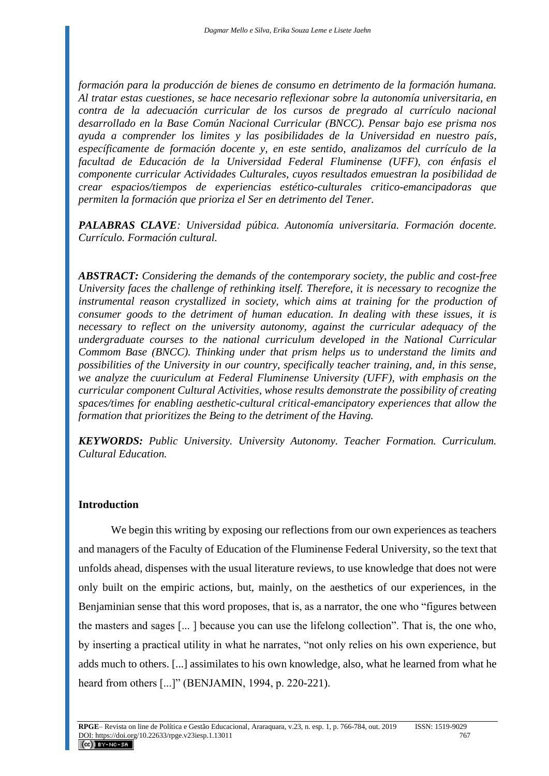*formación para la producción de bienes de consumo en detrimento de la formación humana. Al tratar estas cuestiones, se hace necesario reflexionar sobre la autonomía universitaria, en contra de la adecuación curricular de los cursos de pregrado al currículo nacional desarrollado en la Base Común Nacional Curricular (BNCC). Pensar bajo ese prisma nos ayuda a comprender los limites y las posibilidades de la Universidad en nuestro país, específicamente de formación docente y, en este sentido, analizamos del currículo de la facultad de Educación de la Universidad Federal Fluminense (UFF), con énfasis el componente curricular Actividades Culturales, cuyos resultados emuestran la posibilidad de crear espacios/tiempos de experiencias estético-culturales critico-emancipadoras que permiten la formación que prioriza el Ser en detrimento del Tener.* 

*PALABRAS CLAVE: Universidad púbica. Autonomía universitaria. Formación docente. Currículo. Formación cultural.*

*ABSTRACT: Considering the demands of the contemporary society, the public and cost-free University faces the challenge of rethinking itself. Therefore, it is necessary to recognize the instrumental reason crystallized in society, which aims at training for the production of consumer goods to the detriment of human education. In dealing with these issues, it is necessary to reflect on the university autonomy, against the curricular adequacy of the undergraduate courses to the national curriculum developed in the National Curricular Commom Base (BNCC). Thinking under that prism helps us to understand the limits and possibilities of the University in our country, specifically teacher training, and, in this sense, we analyze the cuuriculum at Federal Fluminense University (UFF), with emphasis on the curricular component Cultural Activities, whose results demonstrate the possibility of creating spaces/times for enabling aesthetic-cultural critical-emancipatory experiences that allow the formation that prioritizes the Being to the detriment of the Having.*

*KEYWORDS: Public University. University Autonomy. Teacher Formation. Curriculum. Cultural Education.* 

#### **Introduction**

We begin this writing by exposing our reflections from our own experiences as teachers and managers of the Faculty of Education of the Fluminense Federal University, so the text that unfolds ahead, dispenses with the usual literature reviews, to use knowledge that does not were only built on the empiric actions, but, mainly, on the aesthetics of our experiences, in the Benjaminian sense that this word proposes, that is, as a narrator, the one who "figures between the masters and sages [... ] because you can use the lifelong collection". That is, the one who, by inserting a practical utility in what he narrates, "not only relies on his own experience, but adds much to others. [...] assimilates to his own knowledge, also, what he learned from what he heard from others [...]" (BENJAMIN, 1994, p. 220-221).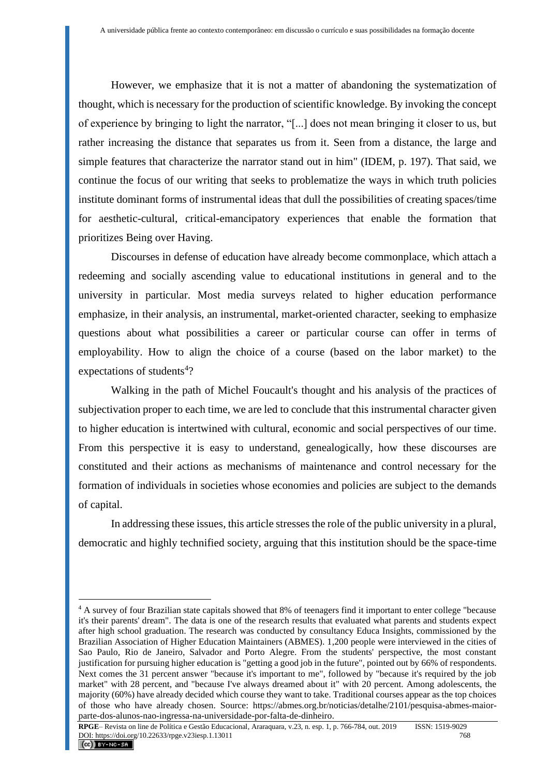However, we emphasize that it is not a matter of abandoning the systematization of thought, which is necessary for the production of scientific knowledge. By invoking the concept of experience by bringing to light the narrator, "[...] does not mean bringing it closer to us, but rather increasing the distance that separates us from it. Seen from a distance, the large and simple features that characterize the narrator stand out in him" (IDEM, p. 197). That said, we continue the focus of our writing that seeks to problematize the ways in which truth policies institute dominant forms of instrumental ideas that dull the possibilities of creating spaces/time for aesthetic-cultural, critical-emancipatory experiences that enable the formation that prioritizes Being over Having.

Discourses in defense of education have already become commonplace, which attach a redeeming and socially ascending value to educational institutions in general and to the university in particular. Most media surveys related to higher education performance emphasize, in their analysis, an instrumental, market-oriented character, seeking to emphasize questions about what possibilities a career or particular course can offer in terms of employability. How to align the choice of a course (based on the labor market) to the expectations of students<sup>4</sup>?

Walking in the path of Michel Foucault's thought and his analysis of the practices of subjectivation proper to each time, we are led to conclude that this instrumental character given to higher education is intertwined with cultural, economic and social perspectives of our time. From this perspective it is easy to understand, genealogically, how these discourses are constituted and their actions as mechanisms of maintenance and control necessary for the formation of individuals in societies whose economies and policies are subject to the demands of capital.

In addressing these issues, this article stresses the role of the public university in a plural, democratic and highly technified society, arguing that this institution should be the space-time

<sup>4</sup> A survey of four Brazilian state capitals showed that 8% of teenagers find it important to enter college "because it's their parents' dream". The data is one of the research results that evaluated what parents and students expect after high school graduation. The research was conducted by consultancy Educa Insights, commissioned by the Brazilian Association of Higher Education Maintainers (ABMES). 1,200 people were interviewed in the cities of Sao Paulo, Rio de Janeiro, Salvador and Porto Alegre. From the students' perspective, the most constant justification for pursuing higher education is "getting a good job in the future", pointed out by 66% of respondents. Next comes the 31 percent answer "because it's important to me", followed by "because it's required by the job market" with 28 percent, and "because I've always dreamed about it" with 20 percent. Among adolescents, the majority (60%) have already decided which course they want to take. Traditional courses appear as the top choices of those who have already chosen. Source: https://abmes.org.br/noticias/detalhe/2101/pesquisa-abmes-maiorparte-dos-alunos-nao-ingressa-na-universidade-por-falta-de-dinheiro.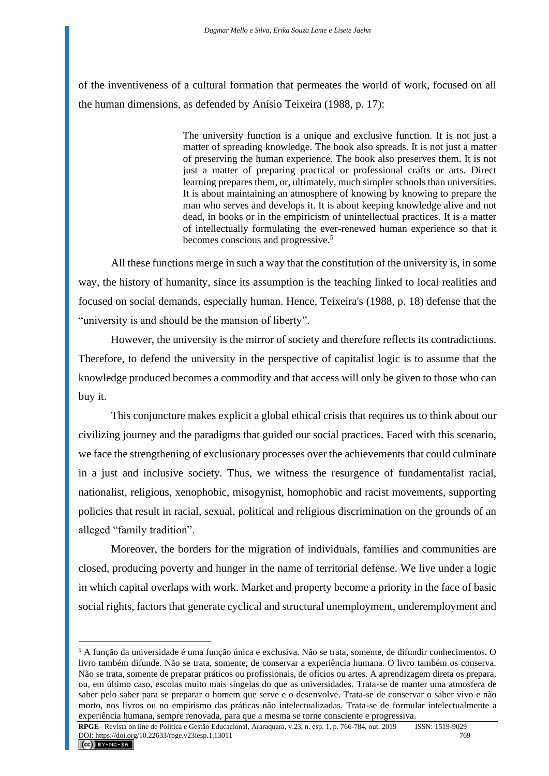of the inventiveness of a cultural formation that permeates the world of work, focused on all the human dimensions, as defended by Anísio Teixeira (1988, p. 17):

> The university function is a unique and exclusive function. It is not just a matter of spreading knowledge. The book also spreads. It is not just a matter of preserving the human experience. The book also preserves them. It is not just a matter of preparing practical or professional crafts or arts. Direct learning prepares them, or, ultimately, much simpler schools than universities. It is about maintaining an atmosphere of knowing by knowing to prepare the man who serves and develops it. It is about keeping knowledge alive and not dead, in books or in the empiricism of unintellectual practices. It is a matter of intellectually formulating the ever-renewed human experience so that it becomes conscious and progressive.<sup>5</sup>

All these functions merge in such a way that the constitution of the university is, in some way, the history of humanity, since its assumption is the teaching linked to local realities and focused on social demands, especially human. Hence, Teixeira's (1988, p. 18) defense that the "university is and should be the mansion of liberty".

However, the university is the mirror of society and therefore reflects its contradictions. Therefore, to defend the university in the perspective of capitalist logic is to assume that the knowledge produced becomes a commodity and that access will only be given to those who can buy it.

This conjuncture makes explicit a global ethical crisis that requires us to think about our civilizing journey and the paradigms that guided our social practices. Faced with this scenario, we face the strengthening of exclusionary processes over the achievements that could culminate in a just and inclusive society. Thus, we witness the resurgence of fundamentalist racial, nationalist, religious, xenophobic, misogynist, homophobic and racist movements, supporting policies that result in racial, sexual, political and religious discrimination on the grounds of an alleged "family tradition".

Moreover, the borders for the migration of individuals, families and communities are closed, producing poverty and hunger in the name of territorial defense. We live under a logic in which capital overlaps with work. Market and property become a priority in the face of basic social rights, factors that generate cyclical and structural unemployment, underemployment and

<sup>5</sup> A função da universidade é uma função única e exclusiva. Não se trata, somente, de difundir conhecimentos. O livro também difunde. Não se trata, somente, de conservar a experiência humana. O livro também os conserva. Não se trata, somente de preparar práticos ou profissionais, de ofícios ou artes. A aprendizagem direta os prepara, ou, em último caso, escolas muito mais singelas do que as universidades. Trata-se de manter uma atmosfera de saber pelo saber para se preparar o homem que serve e o desenvolve. Trata-se de conservar o saber vivo e não morto, nos livros ou no empirismo das práticas não intelectualizadas. Trata-se de formular intelectualmente a experiência humana, sempre renovada, para que a mesma se torne consciente e progressiva.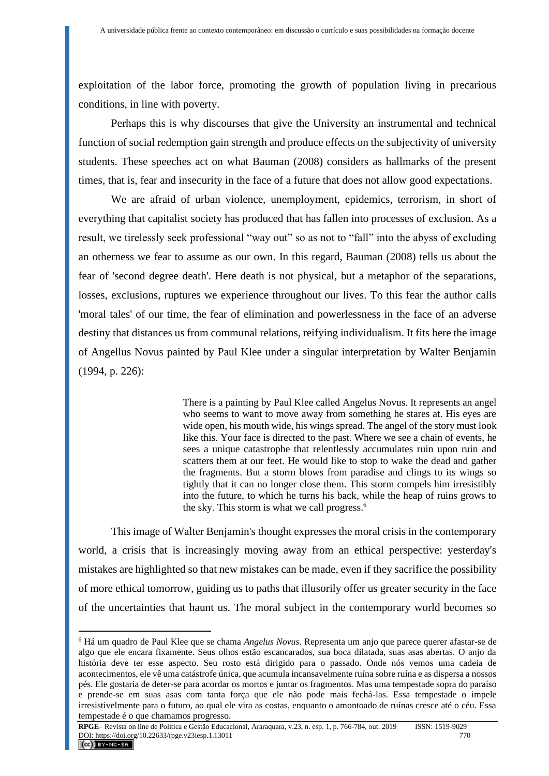exploitation of the labor force, promoting the growth of population living in precarious conditions, in line with poverty.

Perhaps this is why discourses that give the University an instrumental and technical function of social redemption gain strength and produce effects on the subjectivity of university students. These speeches act on what Bauman (2008) considers as hallmarks of the present times, that is, fear and insecurity in the face of a future that does not allow good expectations.

We are afraid of urban violence, unemployment, epidemics, terrorism, in short of everything that capitalist society has produced that has fallen into processes of exclusion. As a result, we tirelessly seek professional "way out" so as not to "fall" into the abyss of excluding an otherness we fear to assume as our own. In this regard, Bauman (2008) tells us about the fear of 'second degree death'. Here death is not physical, but a metaphor of the separations, losses, exclusions, ruptures we experience throughout our lives. To this fear the author calls 'moral tales' of our time, the fear of elimination and powerlessness in the face of an adverse destiny that distances us from communal relations, reifying individualism. It fits here the image of Angellus Novus painted by Paul Klee under a singular interpretation by Walter Benjamin (1994, p. 226):

> There is a painting by Paul Klee called Angelus Novus. It represents an angel who seems to want to move away from something he stares at. His eyes are wide open, his mouth wide, his wings spread. The angel of the story must look like this. Your face is directed to the past. Where we see a chain of events, he sees a unique catastrophe that relentlessly accumulates ruin upon ruin and scatters them at our feet. He would like to stop to wake the dead and gather the fragments. But a storm blows from paradise and clings to its wings so tightly that it can no longer close them. This storm compels him irresistibly into the future, to which he turns his back, while the heap of ruins grows to the sky. This storm is what we call progress.<sup>6</sup>

This image of Walter Benjamin's thought expresses the moral crisis in the contemporary world, a crisis that is increasingly moving away from an ethical perspective: yesterday's mistakes are highlighted so that new mistakes can be made, even if they sacrifice the possibility of more ethical tomorrow, guiding us to paths that illusorily offer us greater security in the face of the uncertainties that haunt us. The moral subject in the contemporary world becomes so

<sup>6</sup> Há um quadro de Paul Klee que se chama *Angelus Novus*. Representa um anjo que parece querer afastar-se de algo que ele encara fixamente. Seus olhos estão escancarados, sua boca dilatada, suas asas abertas. O anjo da história deve ter esse aspecto. Seu rosto está dirigido para o passado. Onde nós vemos uma cadeia de acontecimentos, ele vê uma catástrofe única, que acumula incansavelmente ruína sobre ruína e as dispersa a nossos pés. Ele gostaria de deter-se para acordar os mortos e juntar os fragmentos. Mas uma tempestade sopra do paraíso e prende-se em suas asas com tanta força que ele não pode mais fechá-las. Essa tempestade o impele irresistivelmente para o futuro, ao qual ele vira as costas, enquanto o amontoado de ruínas cresce até o céu. Essa tempestade é o que chamamos progresso.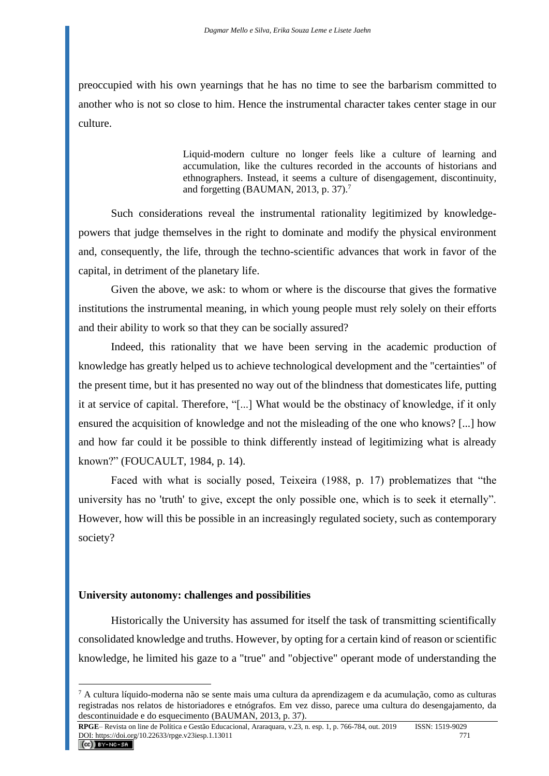preoccupied with his own yearnings that he has no time to see the barbarism committed to another who is not so close to him. Hence the instrumental character takes center stage in our culture.

> Liquid-modern culture no longer feels like a culture of learning and accumulation, like the cultures recorded in the accounts of historians and ethnographers. Instead, it seems a culture of disengagement, discontinuity, and forgetting (BAUMAN, 2013, p. 37).<sup>7</sup>

Such considerations reveal the instrumental rationality legitimized by knowledgepowers that judge themselves in the right to dominate and modify the physical environment and, consequently, the life, through the techno-scientific advances that work in favor of the capital, in detriment of the planetary life.

Given the above, we ask: to whom or where is the discourse that gives the formative institutions the instrumental meaning, in which young people must rely solely on their efforts and their ability to work so that they can be socially assured?

Indeed, this rationality that we have been serving in the academic production of knowledge has greatly helped us to achieve technological development and the "certainties" of the present time, but it has presented no way out of the blindness that domesticates life, putting it at service of capital. Therefore, "[...] What would be the obstinacy of knowledge, if it only ensured the acquisition of knowledge and not the misleading of the one who knows? [...] how and how far could it be possible to think differently instead of legitimizing what is already known?" (FOUCAULT, 1984, p. 14).

Faced with what is socially posed, Teixeira (1988, p. 17) problematizes that "the university has no 'truth' to give, except the only possible one, which is to seek it eternally". However, how will this be possible in an increasingly regulated society, such as contemporary society?

### **University autonomy: challenges and possibilities**

Historically the University has assumed for itself the task of transmitting scientifically consolidated knowledge and truths. However, by opting for a certain kind of reason or scientific knowledge, he limited his gaze to a "true" and "objective" operant mode of understanding the

<sup>7</sup> A cultura líquido-moderna não se sente mais uma cultura da aprendizagem e da acumulação, como as culturas registradas nos relatos de historiadores e etnógrafos. Em vez disso, parece uma cultura do desengajamento, da descontinuidade e do esquecimento (BAUMAN, 2013, p. 37).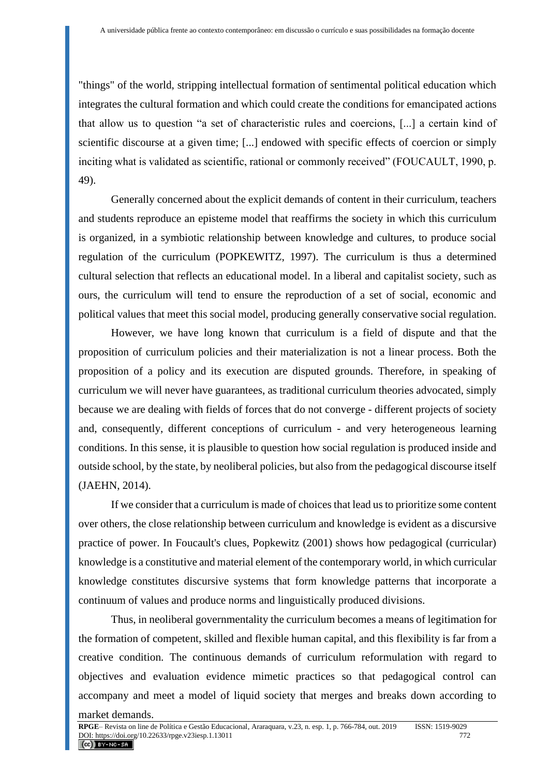"things" of the world, stripping intellectual formation of sentimental political education which integrates the cultural formation and which could create the conditions for emancipated actions that allow us to question "a set of characteristic rules and coercions, [...] a certain kind of scientific discourse at a given time; [...] endowed with specific effects of coercion or simply inciting what is validated as scientific, rational or commonly received" (FOUCAULT, 1990, p. 49).

Generally concerned about the explicit demands of content in their curriculum, teachers and students reproduce an episteme model that reaffirms the society in which this curriculum is organized, in a symbiotic relationship between knowledge and cultures, to produce social regulation of the curriculum (POPKEWITZ, 1997). The curriculum is thus a determined cultural selection that reflects an educational model. In a liberal and capitalist society, such as ours, the curriculum will tend to ensure the reproduction of a set of social, economic and political values that meet this social model, producing generally conservative social regulation.

However, we have long known that curriculum is a field of dispute and that the proposition of curriculum policies and their materialization is not a linear process. Both the proposition of a policy and its execution are disputed grounds. Therefore, in speaking of curriculum we will never have guarantees, as traditional curriculum theories advocated, simply because we are dealing with fields of forces that do not converge - different projects of society and, consequently, different conceptions of curriculum - and very heterogeneous learning conditions. In this sense, it is plausible to question how social regulation is produced inside and outside school, by the state, by neoliberal policies, but also from the pedagogical discourse itself (JAEHN, 2014).

If we consider that a curriculum is made of choices that lead us to prioritize some content over others, the close relationship between curriculum and knowledge is evident as a discursive practice of power. In Foucault's clues, Popkewitz (2001) shows how pedagogical (curricular) knowledge is a constitutive and material element of the contemporary world, in which curricular knowledge constitutes discursive systems that form knowledge patterns that incorporate a continuum of values and produce norms and linguistically produced divisions.

Thus, in neoliberal governmentality the curriculum becomes a means of legitimation for the formation of competent, skilled and flexible human capital, and this flexibility is far from a creative condition. The continuous demands of curriculum reformulation with regard to objectives and evaluation evidence mimetic practices so that pedagogical control can accompany and meet a model of liquid society that merges and breaks down according to

market demands.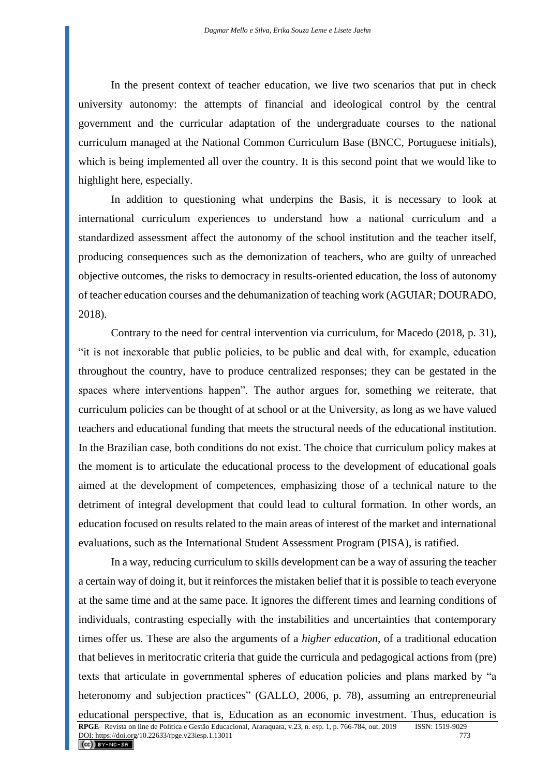In the present context of teacher education, we live two scenarios that put in check university autonomy: the attempts of financial and ideological control by the central government and the curricular adaptation of the undergraduate courses to the national curriculum managed at the National Common Curriculum Base (BNCC, Portuguese initials), which is being implemented all over the country. It is this second point that we would like to highlight here, especially.

In addition to questioning what underpins the Basis, it is necessary to look at international curriculum experiences to understand how a national curriculum and a standardized assessment affect the autonomy of the school institution and the teacher itself, producing consequences such as the demonization of teachers, who are guilty of unreached objective outcomes, the risks to democracy in results-oriented education, the loss of autonomy of teacher education courses and the dehumanization of teaching work (AGUIAR; DOURADO, 2018).

Contrary to the need for central intervention via curriculum, for Macedo (2018, p. 31), "it is not inexorable that public policies, to be public and deal with, for example, education throughout the country, have to produce centralized responses; they can be gestated in the spaces where interventions happen". The author argues for, something we reiterate, that curriculum policies can be thought of at school or at the University, as long as we have valued teachers and educational funding that meets the structural needs of the educational institution. In the Brazilian case, both conditions do not exist. The choice that curriculum policy makes at the moment is to articulate the educational process to the development of educational goals aimed at the development of competences, emphasizing those of a technical nature to the detriment of integral development that could lead to cultural formation. In other words, an education focused on results related to the main areas of interest of the market and international evaluations, such as the International Student Assessment Program (PISA), is ratified.

In a way, reducing curriculum to skills development can be a way of assuring the teacher a certain way of doing it, but it reinforces the mistaken belief that it is possible to teach everyone at the same time and at the same pace. It ignores the different times and learning conditions of individuals, contrasting especially with the instabilities and uncertainties that contemporary times offer us. These are also the arguments of a *higher education*, of a traditional education that believes in meritocratic criteria that guide the curricula and pedagogical actions from (pre) texts that articulate in governmental spheres of education policies and plans marked by "a heteronomy and subjection practices" (GALLO, 2006, p. 78), assuming an entrepreneurial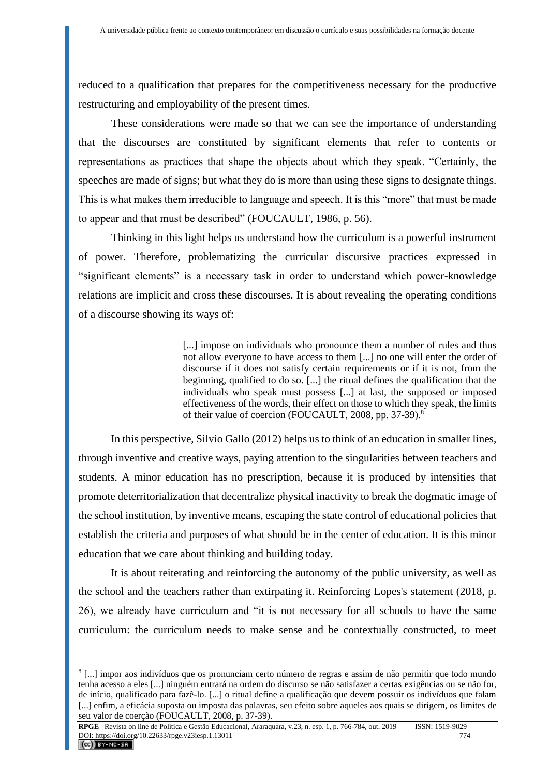reduced to a qualification that prepares for the competitiveness necessary for the productive restructuring and employability of the present times.

These considerations were made so that we can see the importance of understanding that the discourses are constituted by significant elements that refer to contents or representations as practices that shape the objects about which they speak. "Certainly, the speeches are made of signs; but what they do is more than using these signs to designate things. This is what makes them irreducible to language and speech. It is this "more" that must be made to appear and that must be described" (FOUCAULT, 1986, p. 56).

Thinking in this light helps us understand how the curriculum is a powerful instrument of power. Therefore, problematizing the curricular discursive practices expressed in "significant elements" is a necessary task in order to understand which power-knowledge relations are implicit and cross these discourses. It is about revealing the operating conditions of a discourse showing its ways of:

> [...] impose on individuals who pronounce them a number of rules and thus not allow everyone to have access to them [...] no one will enter the order of discourse if it does not satisfy certain requirements or if it is not, from the beginning, qualified to do so. [...] the ritual defines the qualification that the individuals who speak must possess [...] at last, the supposed or imposed effectiveness of the words, their effect on those to which they speak, the limits of their value of coercion (FOUCAULT, 2008, pp. 37-39).<sup>8</sup>

In this perspective, Silvio Gallo (2012) helps us to think of an education in smaller lines, through inventive and creative ways, paying attention to the singularities between teachers and students. A minor education has no prescription, because it is produced by intensities that promote deterritorialization that decentralize physical inactivity to break the dogmatic image of the school institution, by inventive means, escaping the state control of educational policies that establish the criteria and purposes of what should be in the center of education. It is this minor education that we care about thinking and building today.

It is about reiterating and reinforcing the autonomy of the public university, as well as the school and the teachers rather than extirpating it. Reinforcing Lopes's statement (2018, p. 26), we already have curriculum and "it is not necessary for all schools to have the same curriculum: the curriculum needs to make sense and be contextually constructed, to meet

<sup>8</sup> [...] impor aos indivíduos que os pronunciam certo número de regras e assim de não permitir que todo mundo tenha acesso a eles [...] ninguém entrará na ordem do discurso se não satisfazer a certas exigências ou se não for, de início, qualificado para fazê-lo. [...] o ritual define a qualificação que devem possuir os indivíduos que falam [...] enfim, a eficácia suposta ou imposta das palavras, seu efeito sobre aqueles aos quais se dirigem, os limites de seu valor de coerção (FOUCAULT, 2008, p. 37-39).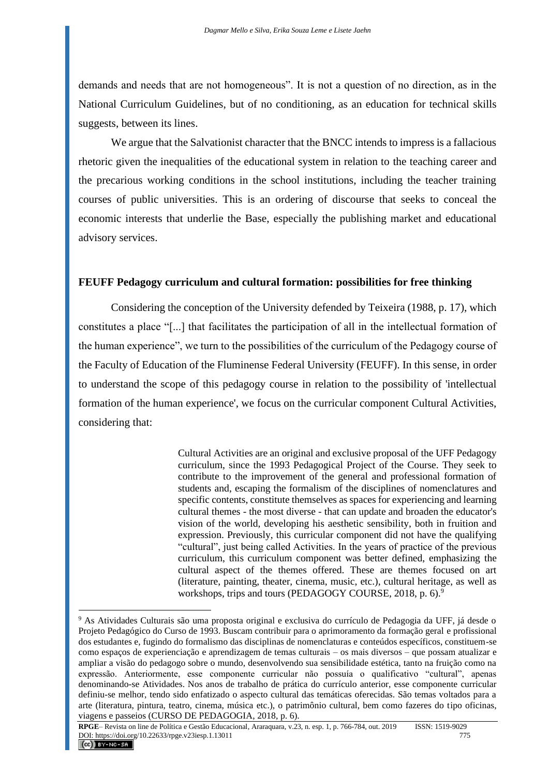demands and needs that are not homogeneous". It is not a question of no direction, as in the National Curriculum Guidelines, but of no conditioning, as an education for technical skills suggests, between its lines.

We argue that the Salvationist character that the BNCC intends to impress is a fallacious rhetoric given the inequalities of the educational system in relation to the teaching career and the precarious working conditions in the school institutions, including the teacher training courses of public universities. This is an ordering of discourse that seeks to conceal the economic interests that underlie the Base, especially the publishing market and educational advisory services.

#### **FEUFF Pedagogy curriculum and cultural formation: possibilities for free thinking**

Considering the conception of the University defended by Teixeira (1988, p. 17), which constitutes a place "[...] that facilitates the participation of all in the intellectual formation of the human experience", we turn to the possibilities of the curriculum of the Pedagogy course of the Faculty of Education of the Fluminense Federal University (FEUFF). In this sense, in order to understand the scope of this pedagogy course in relation to the possibility of 'intellectual formation of the human experience', we focus on the curricular component Cultural Activities, considering that:

> Cultural Activities are an original and exclusive proposal of the UFF Pedagogy curriculum, since the 1993 Pedagogical Project of the Course. They seek to contribute to the improvement of the general and professional formation of students and, escaping the formalism of the disciplines of nomenclatures and specific contents, constitute themselves as spaces for experiencing and learning cultural themes - the most diverse - that can update and broaden the educator's vision of the world, developing his aesthetic sensibility, both in fruition and expression. Previously, this curricular component did not have the qualifying "cultural", just being called Activities. In the years of practice of the previous curriculum, this curriculum component was better defined, emphasizing the cultural aspect of the themes offered. These are themes focused on art (literature, painting, theater, cinema, music, etc.), cultural heritage, as well as workshops, trips and tours (PEDAGOGY COURSE, 2018, p. 6).<sup>9</sup>

<sup>9</sup> As Atividades Culturais são uma proposta original e exclusiva do currículo de Pedagogia da UFF, já desde o Projeto Pedagógico do Curso de 1993. Buscam contribuir para o aprimoramento da formação geral e profissional dos estudantes e, fugindo do formalismo das disciplinas de nomenclaturas e conteúdos específicos, constituem-se como espaços de experienciação e aprendizagem de temas culturais – os mais diversos – que possam atualizar e ampliar a visão do pedagogo sobre o mundo, desenvolvendo sua sensibilidade estética, tanto na fruição como na expressão. Anteriormente, esse componente curricular não possuía o qualificativo "cultural", apenas denominando-se Atividades. Nos anos de trabalho de prática do currículo anterior, esse componente curricular definiu-se melhor, tendo sido enfatizado o aspecto cultural das temáticas oferecidas. São temas voltados para a arte (literatura, pintura, teatro, cinema, música etc.), o patrimônio cultural, bem como fazeres do tipo oficinas, viagens e passeios (CURSO DE PEDAGOGIA, 2018, p. 6).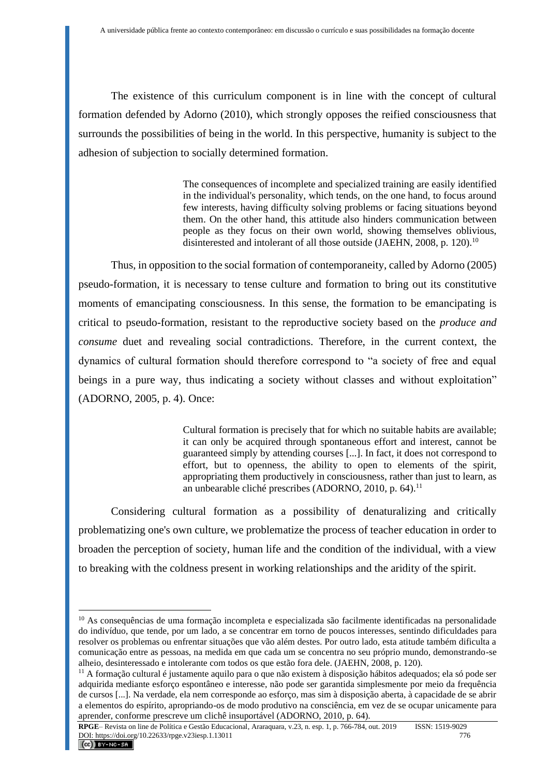The existence of this curriculum component is in line with the concept of cultural formation defended by Adorno (2010), which strongly opposes the reified consciousness that surrounds the possibilities of being in the world. In this perspective, humanity is subject to the adhesion of subjection to socially determined formation.

> The consequences of incomplete and specialized training are easily identified in the individual's personality, which tends, on the one hand, to focus around few interests, having difficulty solving problems or facing situations beyond them. On the other hand, this attitude also hinders communication between people as they focus on their own world, showing themselves oblivious, disinterested and intolerant of all those outside (JAEHN, 2008, p. 120).<sup>10</sup>

Thus, in opposition to the social formation of contemporaneity, called by Adorno (2005) pseudo-formation, it is necessary to tense culture and formation to bring out its constitutive moments of emancipating consciousness. In this sense, the formation to be emancipating is critical to pseudo-formation, resistant to the reproductive society based on the *produce and consume* duet and revealing social contradictions. Therefore, in the current context, the dynamics of cultural formation should therefore correspond to "a society of free and equal beings in a pure way, thus indicating a society without classes and without exploitation" (ADORNO, 2005, p. 4). Once:

> Cultural formation is precisely that for which no suitable habits are available; it can only be acquired through spontaneous effort and interest, cannot be guaranteed simply by attending courses [...]. In fact, it does not correspond to effort, but to openness, the ability to open to elements of the spirit, appropriating them productively in consciousness, rather than just to learn, as an unbearable cliché prescribes (ADORNO, 2010, p. 64).<sup>11</sup>

Considering cultural formation as a possibility of denaturalizing and critically problematizing one's own culture, we problematize the process of teacher education in order to broaden the perception of society, human life and the condition of the individual, with a view to breaking with the coldness present in working relationships and the aridity of the spirit.

<sup>10</sup> As consequências de uma formação incompleta e especializada são facilmente identificadas na personalidade do indivíduo, que tende, por um lado, a se concentrar em torno de poucos interesses, sentindo dificuldades para resolver os problemas ou enfrentar situações que vão além destes. Por outro lado, esta atitude também dificulta a comunicação entre as pessoas, na medida em que cada um se concentra no seu próprio mundo, demonstrando-se alheio, desinteressado e intolerante com todos os que estão fora dele. (JAEHN, 2008, p. 120).

 $11$  A formação cultural é justamente aquilo para o que não existem à disposição hábitos adequados; ela só pode ser adquirida mediante esforço espontâneo e interesse, não pode ser garantida simplesmente por meio da frequência de cursos [...]. Na verdade, ela nem corresponde ao esforço, mas sim à disposição aberta, à capacidade de se abrir a elementos do espírito, apropriando-os de modo produtivo na consciência, em vez de se ocupar unicamente para aprender, conforme prescreve um clichê insuportável (ADORNO, 2010, p. 64).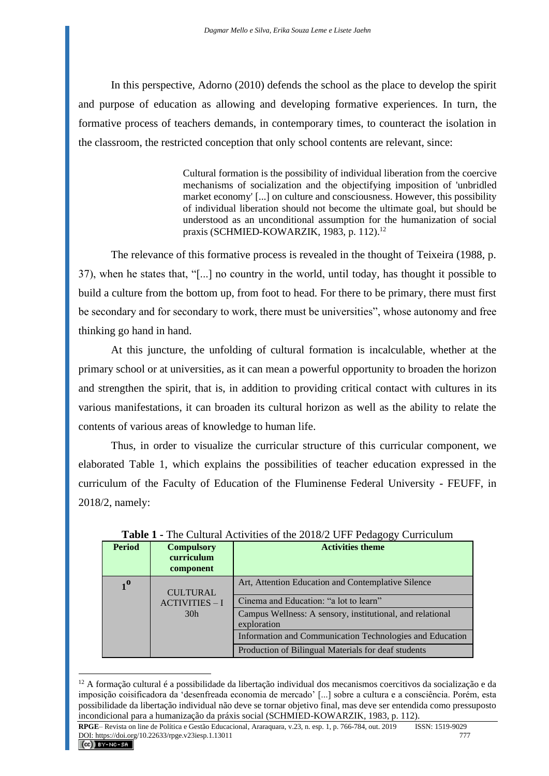In this perspective, Adorno (2010) defends the school as the place to develop the spirit and purpose of education as allowing and developing formative experiences. In turn, the formative process of teachers demands, in contemporary times, to counteract the isolation in the classroom, the restricted conception that only school contents are relevant, since:

> Cultural formation is the possibility of individual liberation from the coercive mechanisms of socialization and the objectifying imposition of 'unbridled market economy' [...] on culture and consciousness. However, this possibility of individual liberation should not become the ultimate goal, but should be understood as an unconditional assumption for the humanization of social praxis (SCHMIED-KOWARZIK, 1983, p. 112).<sup>12</sup>

The relevance of this formative process is revealed in the thought of Teixeira (1988, p. 37), when he states that, "[...] no country in the world, until today, has thought it possible to build a culture from the bottom up, from foot to head. For there to be primary, there must first be secondary and for secondary to work, there must be universities", whose autonomy and free thinking go hand in hand.

At this juncture, the unfolding of cultural formation is incalculable, whether at the primary school or at universities, as it can mean a powerful opportunity to broaden the horizon and strengthen the spirit, that is, in addition to providing critical contact with cultures in its various manifestations, it can broaden its cultural horizon as well as the ability to relate the contents of various areas of knowledge to human life.

Thus, in order to visualize the curricular structure of this curricular component, we elaborated Table 1, which explains the possibilities of teacher education expressed in the curriculum of the Faculty of Education of the Fluminense Federal University - FEUFF, in 2018/2, namely:

| <b>Period</b>    | <b>Compulsory</b><br>curriculum<br>component | <b>Activities theme</b>                                                  |
|------------------|----------------------------------------------|--------------------------------------------------------------------------|
| $1^{\mathbf{0}}$ | <b>CULTURAL</b><br>$ACTIVITIES - I$          | Art, Attention Education and Contemplative Silence                       |
|                  |                                              | Cinema and Education: "a lot to learn"                                   |
|                  | 30 <sub>h</sub>                              | Campus Wellness: A sensory, institutional, and relational<br>exploration |
|                  |                                              | Information and Communication Technologies and Education                 |
|                  |                                              | Production of Bilingual Materials for deaf students                      |

| <b>Table 1 - The Cultural Activities of the 2018/2 UFF Pedagogy Curriculum</b> |  |  |
|--------------------------------------------------------------------------------|--|--|
|                                                                                |  |  |

 $12$  A formação cultural é a possibilidade da libertação individual dos mecanismos coercitivos da socialização e da imposição coisificadora da 'desenfreada economia de mercado' [...] sobre a cultura e a consciência. Porém, esta possibilidade da libertação individual não deve se tornar objetivo final, mas deve ser entendida como pressuposto incondicional para a humanização da práxis social (SCHMIED-KOWARZIK, 1983, p. 112).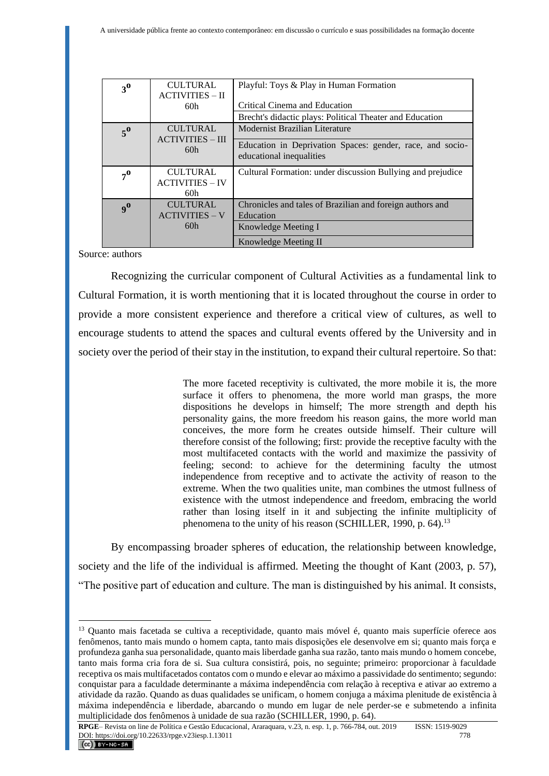| 3 <sup>0</sup> | <b>CULTURAL</b><br><b>ACTIVITIES – II</b>        | Playful: Toys & Play in Human Formation                                               |
|----------------|--------------------------------------------------|---------------------------------------------------------------------------------------|
|                | 60h                                              | Critical Cinema and Education                                                         |
|                |                                                  | Brecht's didactic plays: Political Theater and Education                              |
| $5^{\circ}$    | <b>CULTURAL</b><br><b>ACTIVITIES – III</b>       | Modernist Brazilian Literature                                                        |
|                | 60h                                              | Education in Deprivation Spaces: gender, race, and socio-<br>educational inequalities |
| $7^{\circ}$    | <b>CULTURAL</b><br><b>ACTIVITIES - IV</b><br>60h | Cultural Formation: under discussion Bullying and prejudice                           |
| 9 <sup>0</sup> | <b>CULTURAL</b><br><b>ACTIVITIES - V</b>         | Chronicles and tales of Brazilian and foreign authors and<br>Education                |
|                | 60h                                              | Knowledge Meeting I                                                                   |
|                |                                                  | Knowledge Meeting II                                                                  |

Source: authors

Recognizing the curricular component of Cultural Activities as a fundamental link to Cultural Formation, it is worth mentioning that it is located throughout the course in order to provide a more consistent experience and therefore a critical view of cultures, as well to encourage students to attend the spaces and cultural events offered by the University and in society over the period of their stay in the institution, to expand their cultural repertoire. So that:

> The more faceted receptivity is cultivated, the more mobile it is, the more surface it offers to phenomena, the more world man grasps, the more dispositions he develops in himself; The more strength and depth his personality gains, the more freedom his reason gains, the more world man conceives, the more form he creates outside himself. Their culture will therefore consist of the following; first: provide the receptive faculty with the most multifaceted contacts with the world and maximize the passivity of feeling; second: to achieve for the determining faculty the utmost independence from receptive and to activate the activity of reason to the extreme. When the two qualities unite, man combines the utmost fullness of existence with the utmost independence and freedom, embracing the world rather than losing itself in it and subjecting the infinite multiplicity of phenomena to the unity of his reason (SCHILLER, 1990, p. 64).<sup>13</sup>

By encompassing broader spheres of education, the relationship between knowledge, society and the life of the individual is affirmed. Meeting the thought of Kant (2003, p. 57), "The positive part of education and culture. The man is distinguished by his animal. It consists,

<sup>&</sup>lt;sup>13</sup> Ouanto mais facetada se cultiva a receptividade, quanto mais móvel é, quanto mais superfície oferece aos fenômenos, tanto mais mundo o homem capta, tanto mais disposições ele desenvolve em si; quanto mais força e profundeza ganha sua personalidade, quanto mais liberdade ganha sua razão, tanto mais mundo o homem concebe, tanto mais forma cria fora de si. Sua cultura consistirá, pois, no seguinte; primeiro: proporcionar à faculdade receptiva os mais multifacetados contatos com o mundo e elevar ao máximo a passividade do sentimento; segundo: conquistar para a faculdade determinante a máxima independência com relação à receptiva e ativar ao extremo a atividade da razão. Quando as duas qualidades se unificam, o homem conjuga a máxima plenitude de existência à máxima independência e liberdade, abarcando o mundo em lugar de nele perder-se e submetendo a infinita multiplicidade dos fenômenos à unidade de sua razão (SCHILLER, 1990, p. 64).

**RPGE**– Revista on line de Política e Gestão Educacional, Araraquara, v.23, n. esp. 1, p. 766-784, out. 2019 ISSN: 1519-9029 DOI: https://doi.org/10.22633/rpge.v23iesp.1.13011 778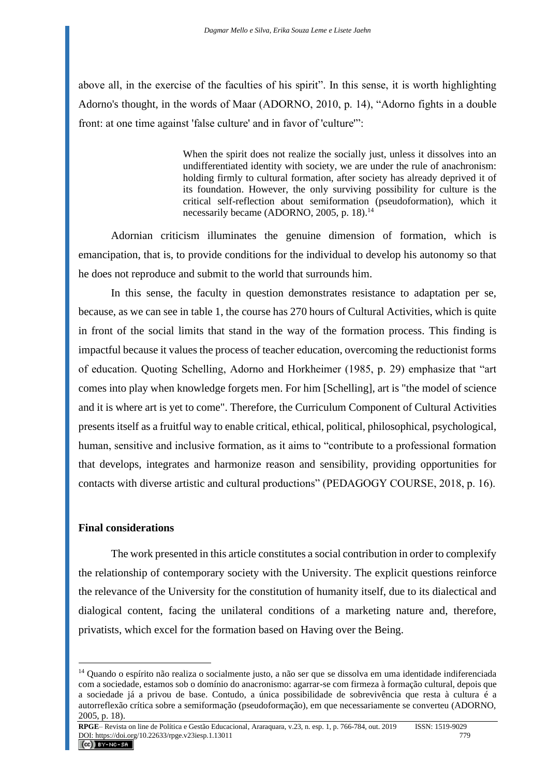above all, in the exercise of the faculties of his spirit". In this sense, it is worth highlighting Adorno's thought, in the words of Maar (ADORNO, 2010, p. 14), "Adorno fights in a double front: at one time against 'false culture' and in favor of 'culture'":

> When the spirit does not realize the socially just, unless it dissolves into an undifferentiated identity with society, we are under the rule of anachronism: holding firmly to cultural formation, after society has already deprived it of its foundation. However, the only surviving possibility for culture is the critical self-reflection about semiformation (pseudoformation), which it necessarily became (ADORNO, 2005, p. 18).<sup>14</sup>

Adornian criticism illuminates the genuine dimension of formation, which is emancipation, that is, to provide conditions for the individual to develop his autonomy so that he does not reproduce and submit to the world that surrounds him.

In this sense, the faculty in question demonstrates resistance to adaptation per se, because, as we can see in table 1, the course has 270 hours of Cultural Activities, which is quite in front of the social limits that stand in the way of the formation process. This finding is impactful because it values the process of teacher education, overcoming the reductionist forms of education. Quoting Schelling, Adorno and Horkheimer (1985, p. 29) emphasize that "art comes into play when knowledge forgets men. For him [Schelling], art is "the model of science and it is where art is yet to come". Therefore, the Curriculum Component of Cultural Activities presents itself as a fruitful way to enable critical, ethical, political, philosophical, psychological, human, sensitive and inclusive formation, as it aims to "contribute to a professional formation that develops, integrates and harmonize reason and sensibility, providing opportunities for contacts with diverse artistic and cultural productions" (PEDAGOGY COURSE, 2018, p. 16).

### **Final considerations**

The work presented in this article constitutes a social contribution in order to complexify the relationship of contemporary society with the University. The explicit questions reinforce the relevance of the University for the constitution of humanity itself, due to its dialectical and dialogical content, facing the unilateral conditions of a marketing nature and, therefore, privatists, which excel for the formation based on Having over the Being.

<sup>&</sup>lt;sup>14</sup> Quando o espírito não realiza o socialmente justo, a não ser que se dissolva em uma identidade indiferenciada com a sociedade, estamos sob o domínio do anacronismo: agarrar-se com firmeza à formação cultural, depois que a sociedade já a privou de base. Contudo, a única possibilidade de sobrevivência que resta à cultura é a autorreflexão crítica sobre a semiformação (pseudoformação), em que necessariamente se converteu (ADORNO, 2005, p. 18).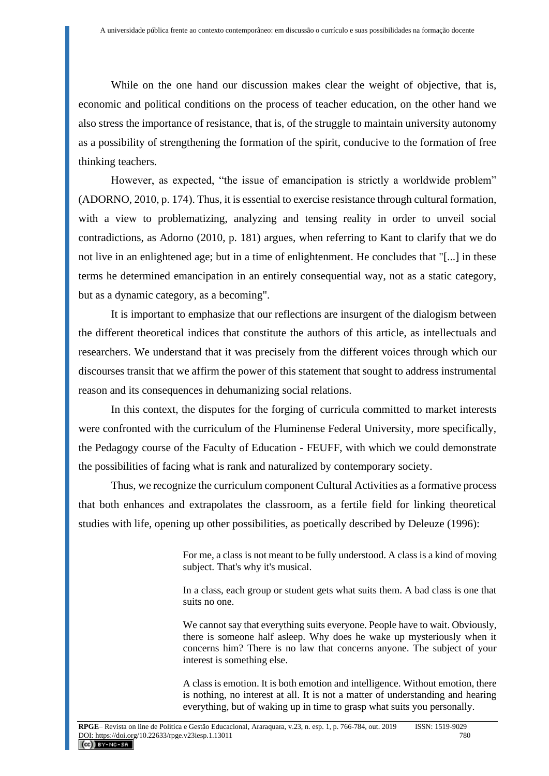While on the one hand our discussion makes clear the weight of objective, that is, economic and political conditions on the process of teacher education, on the other hand we also stress the importance of resistance, that is, of the struggle to maintain university autonomy as a possibility of strengthening the formation of the spirit, conducive to the formation of free thinking teachers.

However, as expected, "the issue of emancipation is strictly a worldwide problem" (ADORNO, 2010, p. 174). Thus, it is essential to exercise resistance through cultural formation, with a view to problematizing, analyzing and tensing reality in order to unveil social contradictions, as Adorno (2010, p. 181) argues, when referring to Kant to clarify that we do not live in an enlightened age; but in a time of enlightenment. He concludes that "[...] in these terms he determined emancipation in an entirely consequential way, not as a static category, but as a dynamic category, as a becoming".

It is important to emphasize that our reflections are insurgent of the dialogism between the different theoretical indices that constitute the authors of this article, as intellectuals and researchers. We understand that it was precisely from the different voices through which our discourses transit that we affirm the power of this statement that sought to address instrumental reason and its consequences in dehumanizing social relations.

In this context, the disputes for the forging of curricula committed to market interests were confronted with the curriculum of the Fluminense Federal University, more specifically, the Pedagogy course of the Faculty of Education - FEUFF, with which we could demonstrate the possibilities of facing what is rank and naturalized by contemporary society.

Thus, we recognize the curriculum component Cultural Activities as a formative process that both enhances and extrapolates the classroom, as a fertile field for linking theoretical studies with life, opening up other possibilities, as poetically described by Deleuze (1996):

> For me, a class is not meant to be fully understood. A class is a kind of moving subject. That's why it's musical.

> In a class, each group or student gets what suits them. A bad class is one that suits no one.

> We cannot say that everything suits everyone. People have to wait. Obviously, there is someone half asleep. Why does he wake up mysteriously when it concerns him? There is no law that concerns anyone. The subject of your interest is something else.

> A class is emotion. It is both emotion and intelligence. Without emotion, there is nothing, no interest at all. It is not a matter of understanding and hearing everything, but of waking up in time to grasp what suits you personally.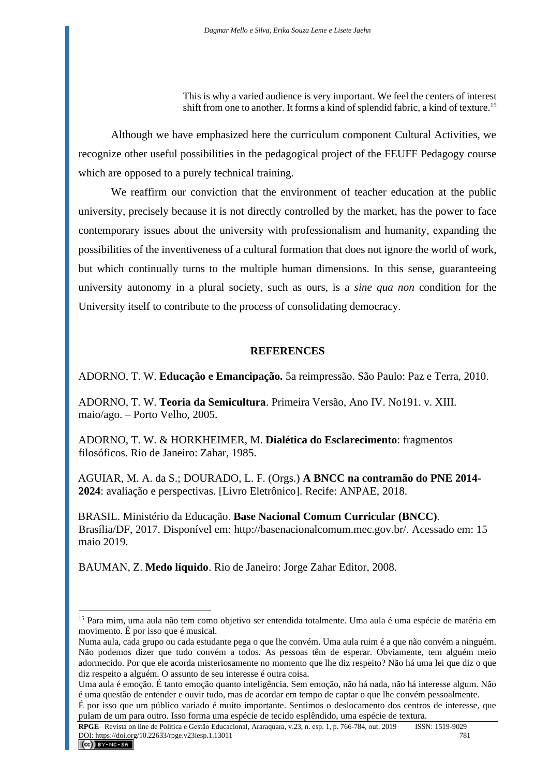This is why a varied audience is very important. We feel the centers of interest shift from one to another. It forms a kind of splendid fabric, a kind of texture.<sup>15</sup>

Although we have emphasized here the curriculum component Cultural Activities, we recognize other useful possibilities in the pedagogical project of the FEUFF Pedagogy course which are opposed to a purely technical training.

We reaffirm our conviction that the environment of teacher education at the public university, precisely because it is not directly controlled by the market, has the power to face contemporary issues about the university with professionalism and humanity, expanding the possibilities of the inventiveness of a cultural formation that does not ignore the world of work, but which continually turns to the multiple human dimensions. In this sense, guaranteeing university autonomy in a plural society, such as ours, is a *sine qua non* condition for the University itself to contribute to the process of consolidating democracy.

### **REFERENCES**

ADORNO, T. W. **Educação e Emancipação.** 5a reimpressão. São Paulo: Paz e Terra, 2010.

ADORNO, T. W. **Teoria da Semicultura**. Primeira Versão, Ano IV. No191. v. XIII. maio/ago. – Porto Velho, 2005.

ADORNO, T. W. & HORKHEIMER, M. **Dialética do Esclarecimento**: fragmentos filosóficos. Rio de Janeiro: Zahar, 1985.

AGUIAR, M. A. da S.; DOURADO, L. F. (Orgs.) **A BNCC na contramão do PNE 2014- 2024**: avaliação e perspectivas. [Livro Eletrônico]. Recife: ANPAE, 2018.

BRASIL. Ministério da Educação. **Base Nacional Comum Curricular (BNCC)**. Brasília/DF, 2017. Disponível em: [http://basenacionalcomum.mec.gov.br/.](http://basenacionalcomum.mec.gov.br/) Acessado em: 15 maio 2019.

BAUMAN, Z. **Medo líquido**. Rio de Janeiro: Jorge Zahar Editor, 2008.

<sup>&</sup>lt;sup>15</sup> Para mim, uma aula não tem como objetivo ser entendida totalmente. Uma aula é uma espécie de matéria em movimento. É por isso que é musical.

Numa aula, cada grupo ou cada estudante pega o que lhe convém. Uma aula ruim é a que não convém a ninguém. Não podemos dizer que tudo convém a todos. As pessoas têm de esperar. Obviamente, tem alguém meio adormecido. Por que ele acorda misteriosamente no momento que lhe diz respeito? Não há uma lei que diz o que diz respeito a alguém. O assunto de seu interesse é outra coisa.

Uma aula é emoção. É tanto emoção quanto inteligência. Sem emoção, não há nada, não há interesse algum. Não é uma questão de entender e ouvir tudo, mas de acordar em tempo de captar o que lhe convém pessoalmente.

É por isso que um público variado é muito importante. Sentimos o deslocamento dos centros de interesse, que pulam de um para outro. Isso forma uma espécie de tecido esplêndido, uma espécie de textura.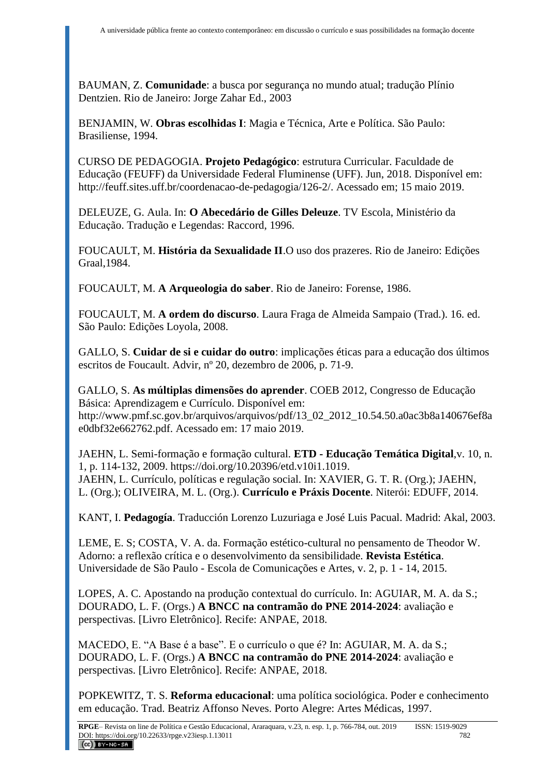BAUMAN, Z. **Comunidade**: a busca por segurança no mundo atual; tradução Plínio Dentzien. Rio de Janeiro: Jorge Zahar Ed., 2003

BENJAMIN, W. **Obras escolhidas I**: Magia e Técnica, Arte e Política. São Paulo: Brasiliense, 1994.

CURSO DE PEDAGOGIA. **Projeto Pedagógico**: estrutura Curricular. Faculdade de Educação (FEUFF) da Universidade Federal Fluminense (UFF). Jun, 2018. Disponível em: [http://feuff.sites.uff.br/coordenacao-de-pedagogia/126-2/.](http://feuff.sites.uff.br/coordenacao-de-pedagogia/126-2/) Acessado em; 15 maio 2019.

DELEUZE, G. Aula. In: **O Abecedário de Gilles Deleuze**. TV Escola, Ministério da Educação. Tradução e Legendas: Raccord, 1996.

FOUCAULT, M. **História da Sexualidade II**.O uso dos prazeres. Rio de Janeiro: Edições Graal,1984.

FOUCAULT, M. **A Arqueologia do saber**. Rio de Janeiro: Forense, 1986.

FOUCAULT, M. **A ordem do discurso**. Laura Fraga de Almeida Sampaio (Trad.). 16. ed. São Paulo: Edições Loyola, 2008.

GALLO, S. **Cuidar de si e cuidar do outro**: implicações éticas para a educação dos últimos escritos de Foucault. Advir, nº 20, dezembro de 2006, p. 71-9.

GALLO, S. **As múltiplas dimensões do aprender**. COEB 2012, Congresso de Educação Básica: Aprendizagem e Currículo. Disponível em: [http://www.pmf.sc.gov.br/arquivos/arquivos/pdf/13\\_02\\_2012\\_10.54.50.a0ac3b8a140676ef8a](http://www.pmf.sc.gov.br/arquivos/arquivos/pdf/13_02_2012_10.54.50.a0ac3b8a140676ef8ae0dbf32e662762.pdf) [e0dbf32e662762.pdf.](http://www.pmf.sc.gov.br/arquivos/arquivos/pdf/13_02_2012_10.54.50.a0ac3b8a140676ef8ae0dbf32e662762.pdf) Acessado em: 17 maio 2019.

JAEHN, L. Semi-formação e formação cultural. **ETD - Educação Temática Digital**,v. 10, n. 1, p. 114-132, 2009. [https://doi.org/10.20396/etd.v10i1.1019.](https://doi.org/10.20396/etd.v10i1.1019) JAEHN, L. Currículo, políticas e regulação social. In: XAVIER, G. T. R. (Org.); JAEHN, L. (Org.); OLIVEIRA, M. L. (Org.). **Currículo e Práxis Docente**. Niterói: EDUFF, 2014.

KANT, I. **Pedagogía**. Traducción Lorenzo Luzuriaga e José Luis Pacual. Madrid: Akal, 2003.

LEME, E. S; COSTA, V. A. da. Formação estético-cultural no pensamento de Theodor W. Adorno: a reflexão crítica e o desenvolvimento da sensibilidade. **Revista Estética**. Universidade de São Paulo - Escola de Comunicações e Artes, v. 2, p. 1 - 14, 2015.

LOPES, A. C. Apostando na produção contextual do currículo. In: AGUIAR, M. A. da S.; DOURADO, L. F. (Orgs.) **A BNCC na contramão do PNE 2014-2024**: avaliação e perspectivas. [Livro Eletrônico]. Recife: ANPAE, 2018.

MACEDO, E. "A Base é a base". E o currículo o que é? In: AGUIAR, M. A. da S.; DOURADO, L. F. (Orgs.) **A BNCC na contramão do PNE 2014-2024**: avaliação e perspectivas. [Livro Eletrônico]. Recife: ANPAE, 2018.

POPKEWITZ, T. S. **Reforma educacional**: uma política sociológica. Poder e conhecimento em educação. Trad. Beatriz Affonso Neves. Porto Alegre: Artes Médicas, 1997.